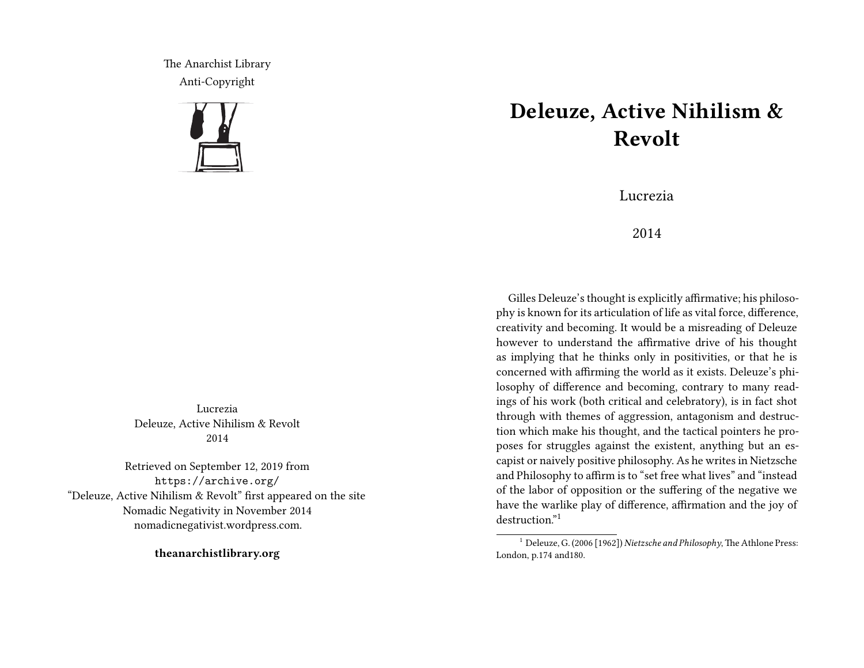The Anarchist Library Anti-Copyright



Lucrezia Deleuze, Active Nihilism & Revolt 2014

Retrieved on September 12, 2019 from https://archive.org/ "Deleuze, Active Nihilism & Revolt" first appeared on the site Nomadic Negativity in November 2014 nomadicnegativist.wordpress.com.

**theanarchistlibrary.org**

## **Deleuze, Active Nihilism & Revolt**

Lucrezia

2014

Gilles Deleuze's thought is explicitly affirmative; his philosophy is known for its articulation of life as vital force, difference, creativity and becoming. It would be a misreading of Deleuze however to understand the affirmative drive of his thought as implying that he thinks only in positivities, or that he is concerned with affirming the world as it exists. Deleuze's philosophy of difference and becoming, contrary to many readings of his work (both critical and celebratory), is in fact shot through with themes of aggression, antagonism and destruction which make his thought, and the tactical pointers he proposes for struggles against the existent, anything but an escapist or naively positive philosophy. As he writes in Nietzsche and Philosophy to affirm is to "set free what lives" and "instead of the labor of opposition or the suffering of the negative we have the warlike play of difference, affirmation and the joy of destruction."<sup>1</sup>

<sup>&</sup>lt;sup>1</sup> Deleuze, G. (2006 [1962]) *Nietzsche and Philosophy*, The Athlone Press: London, p.174 and180.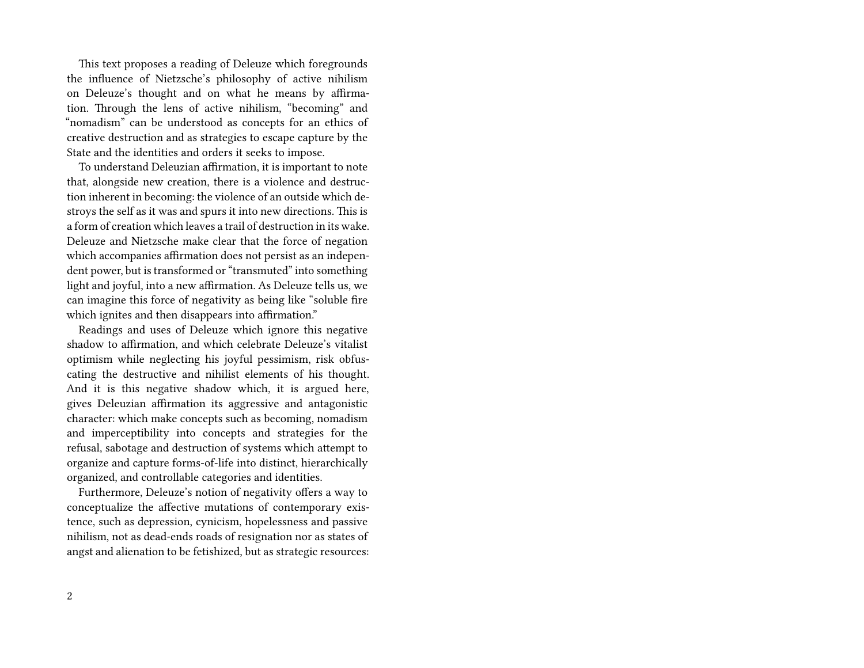This text proposes a reading of Deleuze which foregrounds the influence of Nietzsche's philosophy of active nihilism on Deleuze's thought and on what he means by affirmation. Through the lens of active nihilism, "becoming" and "nomadism" can be understood as concepts for an ethics of creative destruction and as strategies to escape capture by the State and the identities and orders it seeks to impose.

To understand Deleuzian affirmation, it is important to note that, alongside new creation, there is a violence and destruction inherent in becoming: the violence of an outside which destroys the self as it was and spurs it into new directions. This is a form of creation which leaves a trail of destruction in its wake. Deleuze and Nietzsche make clear that the force of negation which accompanies affirmation does not persist as an independent power, but is transformed or "transmuted" into something light and joyful, into a new affirmation. As Deleuze tells us, we can imagine this force of negativity as being like "soluble fire which ignites and then disappears into affirmation."

Readings and uses of Deleuze which ignore this negative shadow to affirmation, and which celebrate Deleuze's vitalist optimism while neglecting his joyful pessimism, risk obfuscating the destructive and nihilist elements of his thought. And it is this negative shadow which, it is argued here, gives Deleuzian affirmation its aggressive and antagonistic character: which make concepts such as becoming, nomadism and imperceptibility into concepts and strategies for the refusal, sabotage and destruction of systems which attempt to organize and capture forms-of-life into distinct, hierarchically organized, and controllable categories and identities.

Furthermore, Deleuze's notion of negativity offers a way to conceptualize the affective mutations of contemporary existence, such as depression, cynicism, hopelessness and passive nihilism, not as dead-ends roads of resignation nor as states of angst and alienation to be fetishized, but as strategic resources: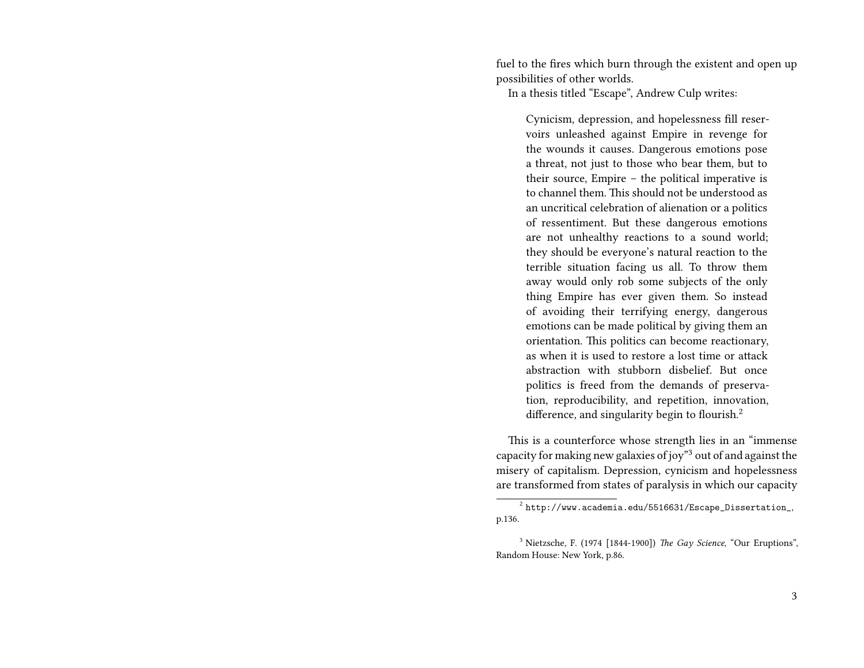fuel to the fires which burn through the existent and open up possibilities of other worlds.

In a thesis titled "Escape", Andrew Culp writes:

Cynicism, depression, and hopelessness fill reservoirs unleashed against Empire in revenge for the wounds it causes. Dangerous emotions pose a threat, not just to those who bear them, but to their source, Empire – the political imperative is to channel them. This should not be understood as an uncritical celebration of alienation or a politics of ressentiment. But these dangerous emotions are not unhealthy reactions to a sound world; they should be everyone's natural reaction to the terrible situation facing us all. To throw them away would only rob some subjects of the only thing Empire has ever given them. So instead of avoiding their terrifying energy, dangerous emotions can be made political by giving them an orientation. This politics can become reactionary, as when it is used to restore a lost time or attack abstraction with stubborn disbelief. But once politics is freed from the demands of preservation, reproducibility, and repetition, innovation, difference, and singularity begin to flourish.<sup>2</sup>

This is a counterforce whose strength lies in an "immense capacity for making new galaxies of joy"<sup>3</sup> out of and against the misery of capitalism. Depression, cynicism and hopelessness are transformed from states of paralysis in which our capacity

 $^{\rm 2}$  <code>http://www.academia.edu/5516631/Escape\_Dissertation\_,</code> p.136.

<sup>3</sup> Nietzsche, F. (1974 [1844-1900]) *The Gay Science*, "Our Eruptions", Random House: New York, p.86.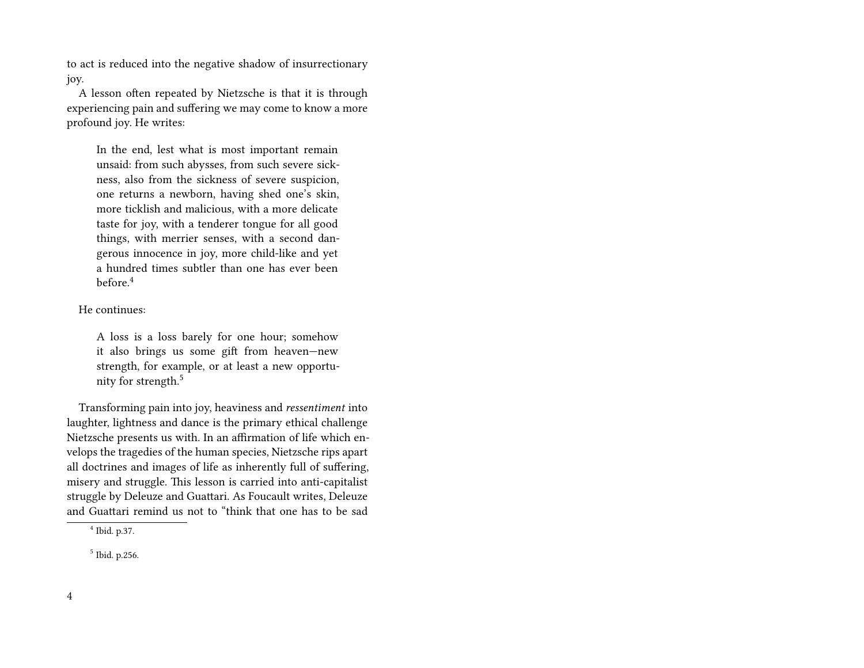to act is reduced into the negative shadow of insurrectionary joy.

A lesson often repeated by Nietzsche is that it is through experiencing pain and suffering we may come to know a more profound joy. He writes:

In the end, lest what is most important remain unsaid: from such abysses, from such severe sickness, also from the sickness of severe suspicion, one returns a newborn, having shed one's skin, more ticklish and malicious, with a more delicate taste for joy, with a tenderer tongue for all good things, with merrier senses, with a second dangerous innocence in joy, more child-like and yet a hundred times subtler than one has ever been before  $4$ 

## He continues:

A loss is a loss barely for one hour; somehow it also brings us some gift from heaven—new strength, for example, or at least a new opportunity for strength.<sup>5</sup>

Transforming pain into joy, heaviness and *ressentiment* into laughter, lightness and dance is the primary ethical challenge Nietzsche presents us with. In an affirmation of life which envelops the tragedies of the human species, Nietzsche rips apart all doctrines and images of life as inherently full of suffering, misery and struggle. This lesson is carried into anti-capitalist struggle by Deleuze and Guattari. As Foucault writes, Deleuze and Guattari remind us not to "think that one has to be sad

<sup>4</sup> Ibid. p.37.

<sup>5</sup> Ibid. p.256.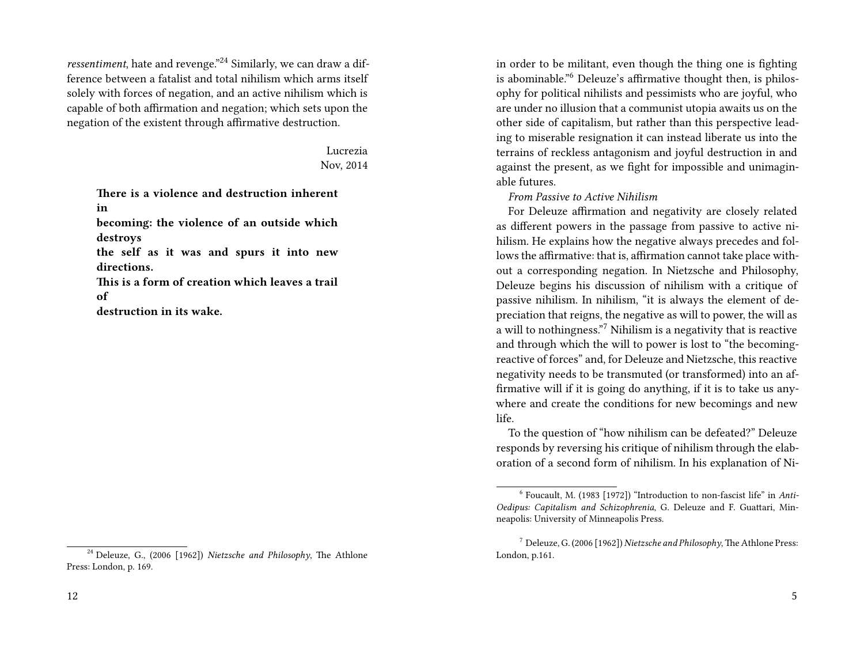ressentiment, hate and revenge."<sup>24</sup> Similarly, we can draw a difference between a fatalist and total nihilism which arms itself solely with forces of negation, and an active nihilism which is capable of both affirmation and negation; which sets upon the negation of the existent through affirmative destruction.

> Lucrezia Nov, 2014

**There is a violence and destruction inherent in**

**becoming: the violence of an outside which destroys**

**the self as it was and spurs it into new directions.**

**This is a form of creation which leaves a trail of**

**destruction in its wake.**

12

in order to be militant, even though the thing one is fighting is abominable."<sup>6</sup> Deleuze's affirmative thought then, is philosophy for political nihilists and pessimists who are joyful, who are under no illusion that a communist utopia awaits us on the other side of capitalism, but rather than this perspective leading to miserable resignation it can instead liberate us into the terrains of reckless antagonism and joyful destruction in and against the present, as we fight for impossible and unimaginable futures.

*From Passive to Active Nihilism*

For Deleuze affirmation and negativity are closely related as different powers in the passage from passive to active nihilism. He explains how the negative always precedes and follows the affirmative: that is, affirmation cannot take place without a corresponding negation. In Nietzsche and Philosophy, Deleuze begins his discussion of nihilism with a critique of passive nihilism. In nihilism, "it is always the element of depreciation that reigns, the negative as will to power, the will as a will to nothingness."<sup>7</sup> Nihilism is a negativity that is reactive and through which the will to power is lost to "the becomingreactive of forces" and, for Deleuze and Nietzsche, this reactive negativity needs to be transmuted (or transformed) into an affirmative will if it is going do anything, if it is to take us anywhere and create the conditions for new becomings and new life.

To the question of "how nihilism can be defeated?" Deleuze responds by reversing his critique of nihilism through the elaboration of a second form of nihilism. In his explanation of Ni-

<sup>24</sup> Deleuze, G., (2006 [1962]) *Nietzsche and Philosophy*, The Athlone Press: London, p. 169.

<sup>6</sup> Foucault, M. (1983 [1972]) "Introduction to non-fascist life" in *Anti-Oedipus: Capitalism and Schizophrenia*, G. Deleuze and F. Guattari, Minneapolis: University of Minneapolis Press.

<sup>7</sup> Deleuze, G. (2006 [1962]) *Nietzsche and Philosophy*,The Athlone Press: London, p.161.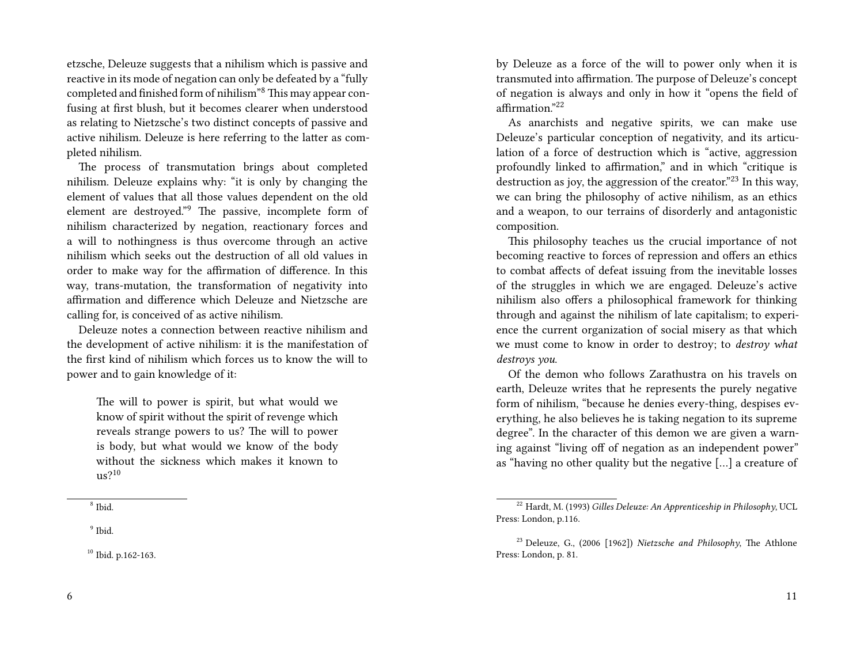etzsche, Deleuze suggests that a nihilism which is passive and reactive in its mode of negation can only be defeated by a "fully completed and finished form of nihilism"<sup>8</sup> This may appear confusing at first blush, but it becomes clearer when understood as relating to Nietzsche's two distinct concepts of passive and active nihilism. Deleuze is here referring to the latter as completed nihilism.

The process of transmutation brings about completed nihilism. Deleuze explains why: "it is only by changing the element of values that all those values dependent on the old element are destroyed."<sup>9</sup> The passive, incomplete form of nihilism characterized by negation, reactionary forces and a will to nothingness is thus overcome through an active nihilism which seeks out the destruction of all old values in order to make way for the affirmation of difference. In this way, trans-mutation, the transformation of negativity into affirmation and difference which Deleuze and Nietzsche are calling for, is conceived of as active nihilism.

Deleuze notes a connection between reactive nihilism and the development of active nihilism: it is the manifestation of the first kind of nihilism which forces us to know the will to power and to gain knowledge of it:

The will to power is spirit, but what would we know of spirit without the spirit of revenge which reveals strange powers to us? The will to power is body, but what would we know of the body without the sickness which makes it known to  $11s^{210}$ 

by Deleuze as a force of the will to power only when it is transmuted into affirmation. The purpose of Deleuze's concept of negation is always and only in how it "opens the field of affirmation."<sup>22</sup>

As anarchists and negative spirits, we can make use Deleuze's particular conception of negativity, and its articulation of a force of destruction which is "active, aggression profoundly linked to affirmation," and in which "critique is destruction as joy, the aggression of the creator."<sup>23</sup> In this way, we can bring the philosophy of active nihilism, as an ethics and a weapon, to our terrains of disorderly and antagonistic composition.

This philosophy teaches us the crucial importance of not becoming reactive to forces of repression and offers an ethics to combat affects of defeat issuing from the inevitable losses of the struggles in which we are engaged. Deleuze's active nihilism also offers a philosophical framework for thinking through and against the nihilism of late capitalism; to experience the current organization of social misery as that which we must come to know in order to destroy; to *destroy what destroys you*.

Of the demon who follows Zarathustra on his travels on earth, Deleuze writes that he represents the purely negative form of nihilism, "because he denies every-thing, despises everything, he also believes he is taking negation to its supreme degree". In the character of this demon we are given a warning against "living off of negation as an independent power" as "having no other quality but the negative […] a creature of

<sup>8</sup> Ibid.

<sup>&</sup>lt;sup>9</sup> Ibid.

<sup>10</sup> Ibid. p.162-163.

<sup>22</sup> Hardt, M. (1993) *Gilles Deleuze: An Apprenticeship in Philosophy*, UCL Press: London, p.116.

<sup>23</sup> Deleuze, G., (2006 [1962]) *Nietzsche and Philosophy*, The Athlone Press: London, p. 81.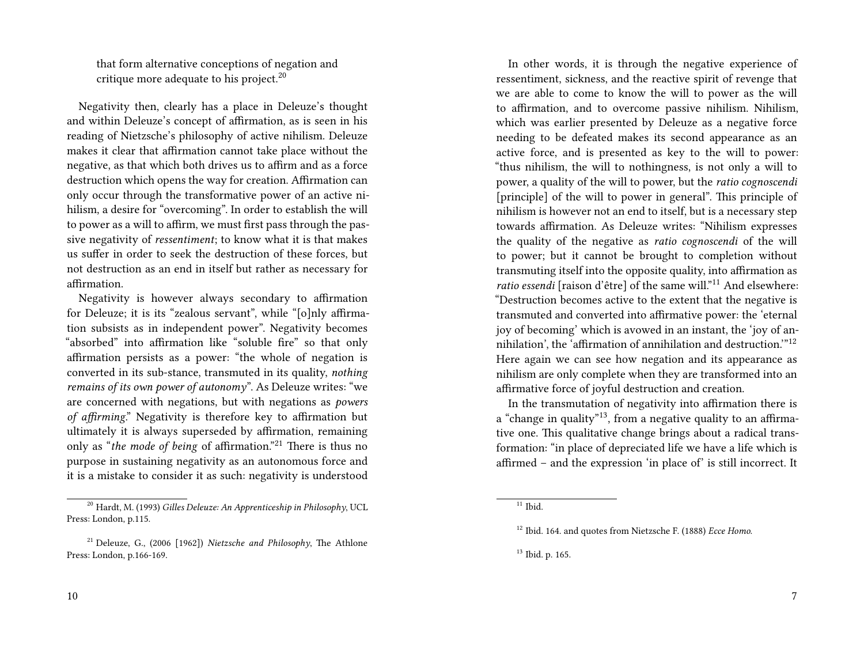that form alternative conceptions of negation and critique more adequate to his project.<sup>20</sup>

Negativity then, clearly has a place in Deleuze's thought and within Deleuze's concept of affirmation, as is seen in his reading of Nietzsche's philosophy of active nihilism. Deleuze makes it clear that affirmation cannot take place without the negative, as that which both drives us to affirm and as a force destruction which opens the way for creation. Affirmation can only occur through the transformative power of an active nihilism, a desire for "overcoming". In order to establish the will to power as a will to affirm, we must first pass through the passive negativity of *ressentiment*; to know what it is that makes us suffer in order to seek the destruction of these forces, but not destruction as an end in itself but rather as necessary for affirmation.

Negativity is however always secondary to affirmation for Deleuze; it is its "zealous servant", while "[o]nly affirmation subsists as in independent power". Negativity becomes "absorbed" into affirmation like "soluble fire" so that only affirmation persists as a power: "the whole of negation is converted in its sub-stance, transmuted in its quality, *nothing remains of its own power of autonomy*". As Deleuze writes: "we are concerned with negations, but with negations as *powers of affirming*." Negativity is therefore key to affirmation but ultimately it is always superseded by affirmation, remaining only as "*the mode of being* of affirmation."<sup>21</sup> There is thus no purpose in sustaining negativity as an autonomous force and it is a mistake to consider it as such: negativity is understood

In other words, it is through the negative experience of ressentiment, sickness, and the reactive spirit of revenge that we are able to come to know the will to power as the will to affirmation, and to overcome passive nihilism. Nihilism, which was earlier presented by Deleuze as a negative force needing to be defeated makes its second appearance as an active force, and is presented as key to the will to power: "thus nihilism, the will to nothingness, is not only a will to power, a quality of the will to power, but the *ratio cognoscendi* [principle] of the will to power in general". This principle of nihilism is however not an end to itself, but is a necessary step towards affirmation. As Deleuze writes: "Nihilism expresses the quality of the negative as *ratio cognoscendi* of the will to power; but it cannot be brought to completion without transmuting itself into the opposite quality, into affirmation as *ratio essendi* [raison d'être] of the same will."<sup>11</sup> And elsewhere: "Destruction becomes active to the extent that the negative is transmuted and converted into affirmative power: the 'eternal joy of becoming' which is avowed in an instant, the 'joy of annihilation', the 'affirmation of annihilation and destruction.'"<sup>12</sup> Here again we can see how negation and its appearance as nihilism are only complete when they are transformed into an affirmative force of joyful destruction and creation.

In the transmutation of negativity into affirmation there is a "change in quality"13, from a negative quality to an affirmative one. This qualitative change brings about a radical transformation: "in place of depreciated life we have a life which is affirmed – and the expression 'in place of' is still incorrect. It

<sup>20</sup> Hardt, M. (1993) *Gilles Deleuze: An Apprenticeship in Philosophy*, UCL Press: London, p.115.

<sup>21</sup> Deleuze, G., (2006 [1962]) *Nietzsche and Philosophy*, The Athlone Press: London, p.166-169.

 $11$  Ibid.

<sup>12</sup> Ibid. 164. and quotes from Nietzsche F. (1888) *Ecce Homo*.

<sup>13</sup> Ibid. p. 165.